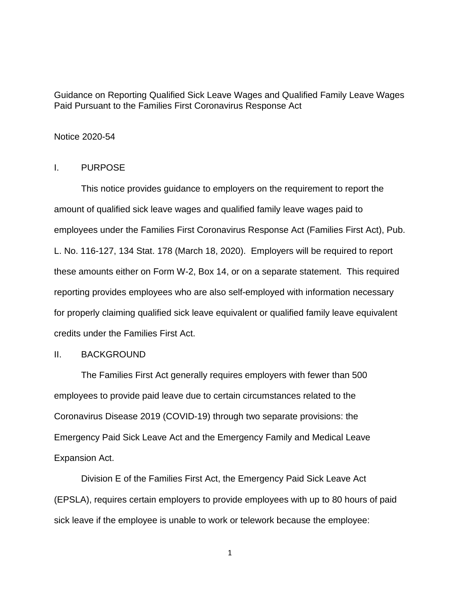Guidance on Reporting Qualified Sick Leave Wages and Qualified Family Leave Wages Paid Pursuant to the Families First Coronavirus Response Act

### Notice 2020-54

## I. PURPOSE

This notice provides guidance to employers on the requirement to report the amount of qualified sick leave wages and qualified family leave wages paid to employees under the Families First Coronavirus Response Act (Families First Act), Pub. L. No. 116-127, 134 Stat. 178 (March 18, 2020). Employers will be required to report these amounts either on Form W-2, Box 14, or on a separate statement. This required reporting provides employees who are also self-employed with information necessary for properly claiming qualified sick leave equivalent or qualified family leave equivalent credits under the Families First Act.

### II. BACKGROUND

The Families First Act generally requires employers with fewer than 500 employees to provide paid leave due to certain circumstances related to the Coronavirus Disease 2019 (COVID-19) through two separate provisions: the Emergency Paid Sick Leave Act and the Emergency Family and Medical Leave Expansion Act.

Division E of the Families First Act, the Emergency Paid Sick Leave Act (EPSLA), requires certain employers to provide employees with up to 80 hours of paid sick leave if the employee is unable to work or telework because the employee: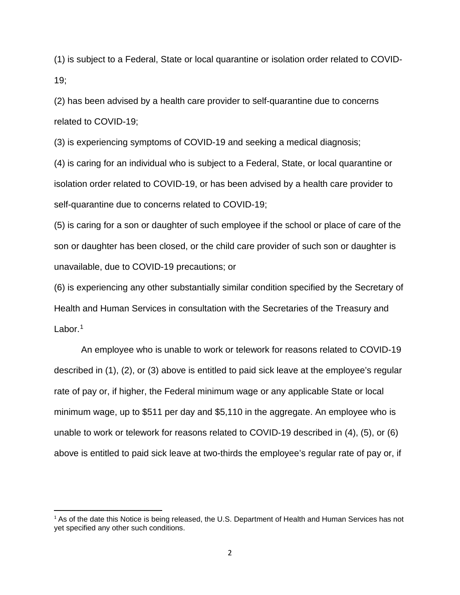(1) is subject to a Federal, State or local quarantine or isolation order related to COVID-19;

(2) has been advised by a health care provider to self-quarantine due to concerns related to COVID-19;

(3) is experiencing symptoms of COVID-19 and seeking a medical diagnosis;

(4) is caring for an individual who is subject to a Federal, State, or local quarantine or isolation order related to COVID-19, or has been advised by a health care provider to self-quarantine due to concerns related to COVID-19;

(5) is caring for a son or daughter of such employee if the school or place of care of the son or daughter has been closed, or the child care provider of such son or daughter is unavailable, due to COVID-19 precautions; or

(6) is experiencing any other substantially similar condition specified by the Secretary of Health and Human Services in consultation with the Secretaries of the Treasury and Labor. $1$ 

An employee who is unable to work or telework for reasons related to COVID-19 described in (1), (2), or (3) above is entitled to paid sick leave at the employee's regular rate of pay or, if higher, the Federal minimum wage or any applicable State or local minimum wage, up to \$511 per day and \$5,110 in the aggregate. An employee who is unable to work or telework for reasons related to COVID-19 described in (4), (5), or (6) above is entitled to paid sick leave at two-thirds the employee's regular rate of pay or, if

<span id="page-1-0"></span><sup>&</sup>lt;sup>1</sup> As of the date this Notice is being released, the U.S. Department of Health and Human Services has not yet specified any other such conditions.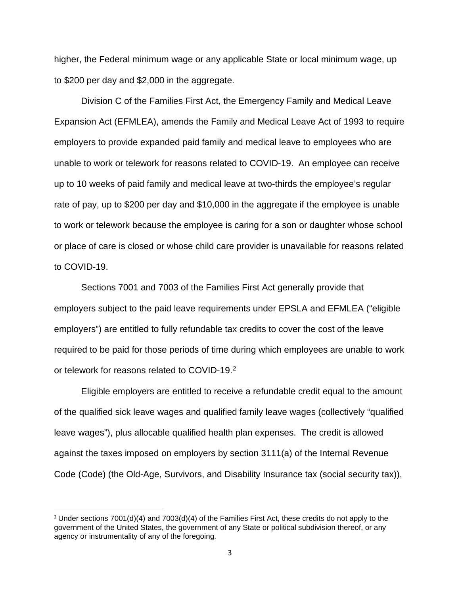higher, the Federal minimum wage or any applicable State or local minimum wage, up to \$200 per day and \$2,000 in the aggregate.

Division C of the Families First Act, the Emergency Family and Medical Leave Expansion Act (EFMLEA), amends the Family and Medical Leave Act of 1993 to require employers to provide expanded paid family and medical leave to employees who are unable to work or telework for reasons related to COVID-19. An employee can receive up to 10 weeks of paid family and medical leave at two-thirds the employee's regular rate of pay, up to \$200 per day and \$10,000 in the aggregate if the employee is unable to work or telework because the employee is caring for a son or daughter whose school or place of care is closed or whose child care provider is unavailable for reasons related to COVID-19.

Sections 7001 and 7003 of the Families First Act generally provide that employers subject to the paid leave requirements under EPSLA and EFMLEA ("eligible employers") are entitled to fully refundable tax credits to cover the cost of the leave required to be paid for those periods of time during which employees are unable to work or telework for reasons related to COVID-19. [2](#page-2-0)

Eligible employers are entitled to receive a refundable credit equal to the amount of the qualified sick leave wages and qualified family leave wages (collectively "qualified leave wages"), plus allocable qualified health plan expenses. The credit is allowed against the taxes imposed on employers by section 3111(a) of the Internal Revenue Code (Code) (the Old-Age, Survivors, and Disability Insurance tax (social security tax)),

<span id="page-2-0"></span><sup>&</sup>lt;sup>2</sup> Under sections 7001(d)(4) and 7003(d)(4) of the Families First Act, these credits do not apply to the government of the United States, the government of any State or political subdivision thereof, or any agency or instrumentality of any of the foregoing.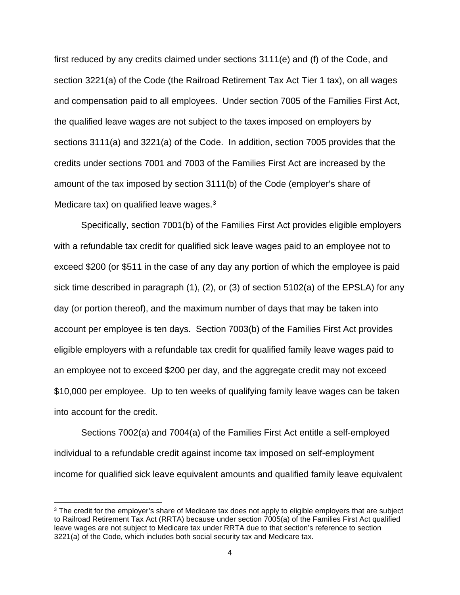first reduced by any credits claimed under sections 3111(e) and (f) of the Code, and section 3221(a) of the Code (the Railroad Retirement Tax Act Tier 1 tax), on all wages and compensation paid to all employees. Under section 7005 of the Families First Act, the qualified leave wages are not subject to the taxes imposed on employers by sections 3111(a) and 3221(a) of the Code. In addition, section 7005 provides that the credits under sections 7001 and 7003 of the Families First Act are increased by the amount of the tax imposed by section 3111(b) of the Code (employer's share of Medicare tax) on qualified leave wages.<sup>[3](#page-3-0)</sup>

Specifically, section 7001(b) of the Families First Act provides eligible employers with a refundable tax credit for qualified sick leave wages paid to an employee not to exceed \$200 (or \$511 in the case of any day any portion of which the employee is paid sick time described in paragraph (1), (2), or (3) of section 5102(a) of the EPSLA) for any day (or portion thereof), and the maximum number of days that may be taken into account per employee is ten days. Section 7003(b) of the Families First Act provides eligible employers with a refundable tax credit for qualified family leave wages paid to an employee not to exceed \$200 per day, and the aggregate credit may not exceed \$10,000 per employee. Up to ten weeks of qualifying family leave wages can be taken into account for the credit.

Sections 7002(a) and 7004(a) of the Families First Act entitle a self-employed individual to a refundable credit against income tax imposed on self-employment income for qualified sick leave equivalent amounts and qualified family leave equivalent

<span id="page-3-0"></span><sup>&</sup>lt;sup>3</sup> The credit for the employer's share of Medicare tax does not apply to eligible employers that are subject to Railroad Retirement Tax Act (RRTA) because under section 7005(a) of the Families First Act qualified leave wages are not subject to Medicare tax under RRTA due to that section's reference to section 3221(a) of the Code, which includes both social security tax and Medicare tax.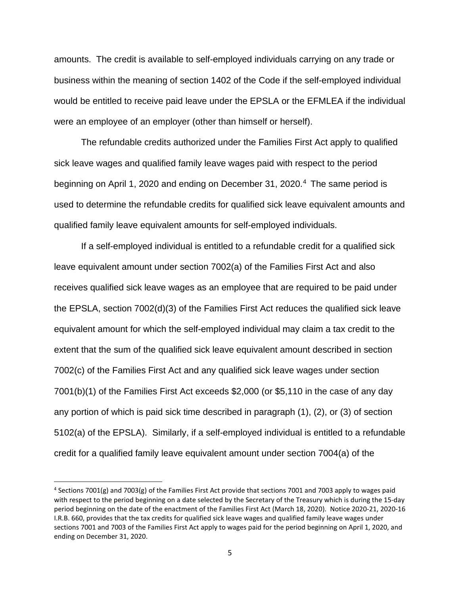amounts. The credit is available to self-employed individuals carrying on any trade or business within the meaning of section 1402 of the Code if the self-employed individual would be entitled to receive paid leave under the EPSLA or the EFMLEA if the individual were an employee of an employer (other than himself or herself).

The refundable credits authorized under the Families First Act apply to qualified sick leave wages and qualified family leave wages paid with respect to the period beginning on April 1, 2020 and ending on December 31, 2020.<sup>[4](#page-4-0)</sup> The same period is used to determine the refundable credits for qualified sick leave equivalent amounts and qualified family leave equivalent amounts for self-employed individuals.

If a self-employed individual is entitled to a refundable credit for a qualified sick leave equivalent amount under section 7002(a) of the Families First Act and also receives qualified sick leave wages as an employee that are required to be paid under the EPSLA, section 7002(d)(3) of the Families First Act reduces the qualified sick leave equivalent amount for which the self-employed individual may claim a tax credit to the extent that the sum of the qualified sick leave equivalent amount described in section 7002(c) of the Families First Act and any qualified sick leave wages under section 7001(b)(1) of the Families First Act exceeds \$2,000 (or \$5,110 in the case of any day any portion of which is paid sick time described in paragraph (1), (2), or (3) of section 5102(a) of the EPSLA). Similarly, if a self-employed individual is entitled to a refundable credit for a qualified family leave equivalent amount under section 7004(a) of the

<span id="page-4-0"></span><sup>4</sup> Sections 7001(g) and 7003(g) of the Families First Act provide that sections 7001 and 7003 apply to wages paid with respect to the period beginning on a date selected by the Secretary of the Treasury which is during the 15-day period beginning on the date of the enactment of the Families First Act (March 18, 2020). Notice 2020-21, 2020-16 I.R.B. 660, provides that the tax credits for qualified sick leave wages and qualified family leave wages under sections 7001 and 7003 of the Families First Act apply to wages paid for the period beginning on April 1, 2020, and ending on December 31, 2020.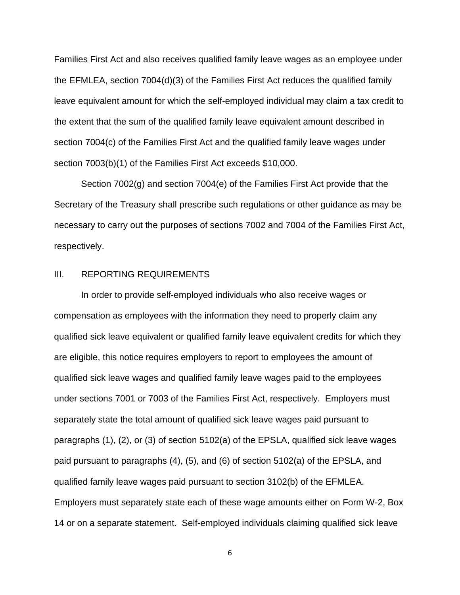Families First Act and also receives qualified family leave wages as an employee under the EFMLEA, section 7004(d)(3) of the Families First Act reduces the qualified family leave equivalent amount for which the self-employed individual may claim a tax credit to the extent that the sum of the qualified family leave equivalent amount described in section 7004(c) of the Families First Act and the qualified family leave wages under section 7003(b)(1) of the Families First Act exceeds \$10,000.

Section 7002(g) and section 7004(e) of the Families First Act provide that the Secretary of the Treasury shall prescribe such regulations or other guidance as may be necessary to carry out the purposes of sections 7002 and 7004 of the Families First Act, respectively.

# III. REPORTING REQUIREMENTS

In order to provide self-employed individuals who also receive wages or compensation as employees with the information they need to properly claim any qualified sick leave equivalent or qualified family leave equivalent credits for which they are eligible, this notice requires employers to report to employees the amount of qualified sick leave wages and qualified family leave wages paid to the employees under sections 7001 or 7003 of the Families First Act, respectively. Employers must separately state the total amount of qualified sick leave wages paid pursuant to paragraphs (1), (2), or (3) of section 5102(a) of the EPSLA, qualified sick leave wages paid pursuant to paragraphs (4), (5), and (6) of section 5102(a) of the EPSLA, and qualified family leave wages paid pursuant to section 3102(b) of the EFMLEA. Employers must separately state each of these wage amounts either on Form W-2, Box 14 or on a separate statement. Self-employed individuals claiming qualified sick leave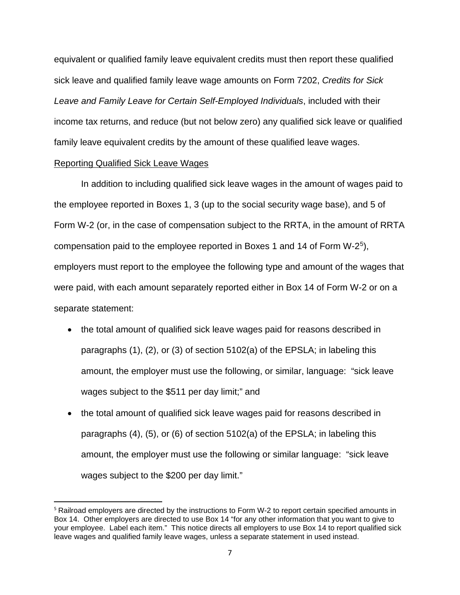equivalent or qualified family leave equivalent credits must then report these qualified sick leave and qualified family leave wage amounts on Form 7202, *Credits for Sick Leave and Family Leave for Certain Self-Employed Individuals*, included with their income tax returns, and reduce (but not below zero) any qualified sick leave or qualified family leave equivalent credits by the amount of these qualified leave wages.

### Reporting Qualified Sick Leave Wages

In addition to including qualified sick leave wages in the amount of wages paid to the employee reported in Boxes 1, 3 (up to the social security wage base), and 5 of Form W-2 (or, in the case of compensation subject to the RRTA, in the amount of RRTA compensation paid to the employee reported in Boxes 1 and 14 of Form W-2[5\)](#page-6-0), employers must report to the employee the following type and amount of the wages that were paid, with each amount separately reported either in Box 14 of Form W-2 or on a separate statement:

- the total amount of qualified sick leave wages paid for reasons described in paragraphs (1), (2), or (3) of section 5102(a) of the EPSLA; in labeling this amount, the employer must use the following, or similar, language: "sick leave wages subject to the \$511 per day limit;" and
- the total amount of qualified sick leave wages paid for reasons described in paragraphs (4), (5), or (6) of section 5102(a) of the EPSLA; in labeling this amount, the employer must use the following or similar language: "sick leave wages subject to the \$200 per day limit."

<span id="page-6-0"></span><sup>5</sup> Railroad employers are directed by the instructions to Form W-2 to report certain specified amounts in Box 14. Other employers are directed to use Box 14 "for any other information that you want to give to your employee. Label each item." This notice directs all employers to use Box 14 to report qualified sick leave wages and qualified family leave wages, unless a separate statement in used instead.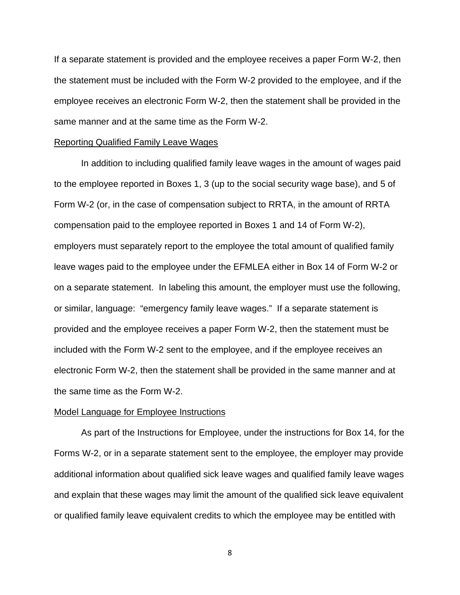If a separate statement is provided and the employee receives a paper Form W-2, then the statement must be included with the Form W-2 provided to the employee, and if the employee receives an electronic Form W-2, then the statement shall be provided in the same manner and at the same time as the Form W-2.

#### Reporting Qualified Family Leave Wages

In addition to including qualified family leave wages in the amount of wages paid to the employee reported in Boxes 1, 3 (up to the social security wage base), and 5 of Form W-2 (or, in the case of compensation subject to RRTA, in the amount of RRTA compensation paid to the employee reported in Boxes 1 and 14 of Form W-2), employers must separately report to the employee the total amount of qualified family leave wages paid to the employee under the EFMLEA either in Box 14 of Form W-2 or on a separate statement. In labeling this amount, the employer must use the following, or similar, language: "emergency family leave wages." If a separate statement is provided and the employee receives a paper Form W-2, then the statement must be included with the Form W-2 sent to the employee, and if the employee receives an electronic Form W-2, then the statement shall be provided in the same manner and at the same time as the Form W-2.

#### Model Language for Employee Instructions

As part of the Instructions for Employee, under the instructions for Box 14, for the Forms W-2, or in a separate statement sent to the employee, the employer may provide additional information about qualified sick leave wages and qualified family leave wages and explain that these wages may limit the amount of the qualified sick leave equivalent or qualified family leave equivalent credits to which the employee may be entitled with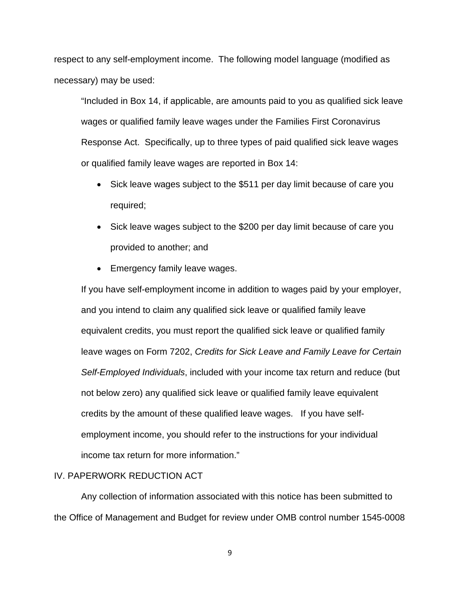respect to any self-employment income. The following model language (modified as necessary) may be used:

"Included in Box 14, if applicable, are amounts paid to you as qualified sick leave wages or qualified family leave wages under the Families First Coronavirus Response Act. Specifically, up to three types of paid qualified sick leave wages or qualified family leave wages are reported in Box 14:

- Sick leave wages subject to the \$511 per day limit because of care you required;
- Sick leave wages subject to the \$200 per day limit because of care you provided to another; and
- Emergency family leave wages.

If you have self-employment income in addition to wages paid by your employer, and you intend to claim any qualified sick leave or qualified family leave equivalent credits, you must report the qualified sick leave or qualified family leave wages on Form 7202, *Credits for Sick Leave and Family Leave for Certain Self-Employed Individuals*, included with your income tax return and reduce (but not below zero) any qualified sick leave or qualified family leave equivalent credits by the amount of these qualified leave wages. If you have selfemployment income, you should refer to the instructions for your individual income tax return for more information."

## IV. PAPERWORK REDUCTION ACT

Any collection of information associated with this notice has been submitted to the Office of Management and Budget for review under OMB control number 1545-0008